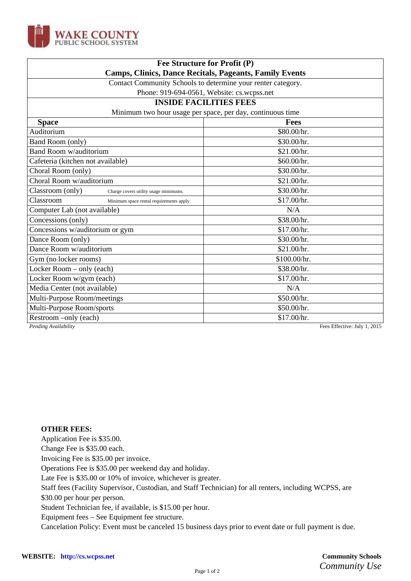

| Fee Structure for Profit (P)<br><b>Camps, Clinics, Dance Recitals, Pageants, Family Events</b> |                                            |
|------------------------------------------------------------------------------------------------|--------------------------------------------|
|                                                                                                |                                            |
|                                                                                                | Phone: 919-694-0561, Website: cs.wcpss.net |
|                                                                                                | <b>INSIDE FACILITIES FEES</b>              |
| Minimum two hour usage per space, per day, continuous time                                     |                                            |
| <b>Space</b>                                                                                   | <b>Fees</b>                                |
| Auditorium                                                                                     | \$80.00/hr.                                |
| Band Room (only)                                                                               | \$30.00/hr.                                |
| <b>Band Room w/auditorium</b>                                                                  | \$21.00/hr.                                |
| Cafeteria (kitchen not available)                                                              | \$60.00/hr.                                |
| Choral Room (only)                                                                             | \$30.00/hr.                                |
| Choral Room w/auditorium                                                                       | \$21.00/hr.                                |
| Classroom (only)<br>Charge covers utility usage minimums.                                      | \$30.00/hr.                                |
| Classroom<br>Minimum space rental requirements apply.                                          | \$17.00/hr.                                |
| Computer Lab (not available)                                                                   | N/A                                        |
| Concessions (only)                                                                             | \$38.00/hr.                                |
| Concessions w/auditorium or gym                                                                | \$17.00/hr.                                |
| Dance Room (only)                                                                              | \$30.00/hr.                                |
| Dance Room w/auditorium                                                                        | \$21.00/hr.                                |
| Gym (no locker rooms)                                                                          | \$100.00/hr.                               |
| Locker Room - only (each)                                                                      | \$38.00/hr.                                |
| Locker Room w/gym (each)                                                                       | \$17.00/hr.                                |
| Media Center (not available)                                                                   | N/A                                        |
| Multi-Purpose Room/meetings                                                                    | \$50.00/hr.                                |
| Multi-Purpose Room/sports                                                                      | \$50.00/hr.                                |
| Restroom -only (each)                                                                          | \$17.00/hr.                                |
| Pending Availability                                                                           | Fees Effective: July 1, 2015               |

## **OTHER FEES:**

Application Fee is \$35.00.

Change Fee is \$35.00 each.

Invoicing Fee is \$35.00 per invoice.

Operations Fee is \$35.00 per weekend day and holiday.

Late Fee is \$35.00 or 10% of invoice, whichever is greater.

Staff fees (Facility Supervisor, Custodian, and Staff Technician) for all renters, including WCPSS, are

\$30.00 per hour per person.

Student Technician fee, if available, is \$15.00 per hour.

Equipment fees – See Equipment fee structure.

Cancelation Policy: Event must be canceled 15 business days prior to event date or full payment is due.